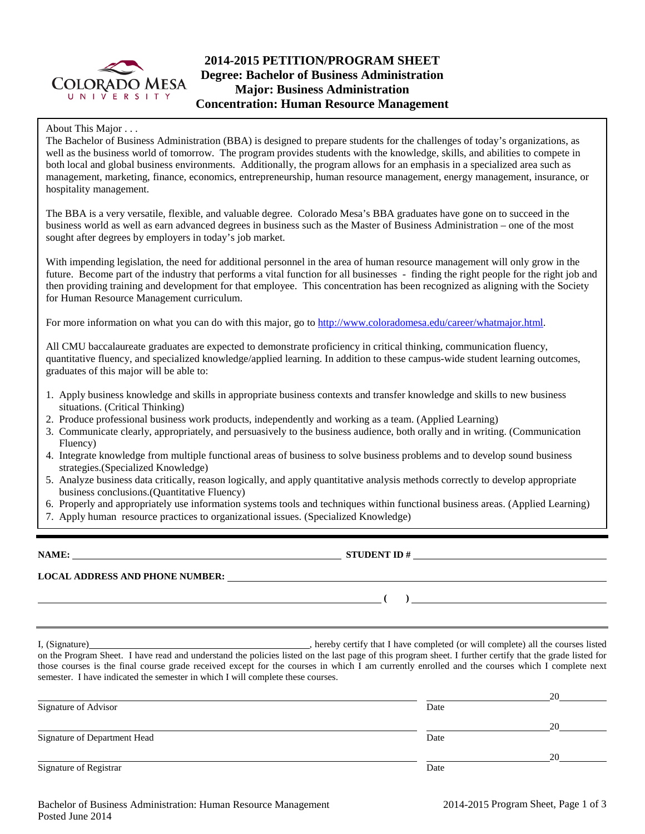

# **2014-2015 PETITION/PROGRAM SHEET Degree: Bachelor of Business Administration Major: Business Administration Concentration: Human Resource Management**

About This Major . . .

The Bachelor of Business Administration (BBA) is designed to prepare students for the challenges of today's organizations, as well as the business world of tomorrow. The program provides students with the knowledge, skills, and abilities to compete in both local and global business environments. Additionally, the program allows for an emphasis in a specialized area such as management, marketing, finance, economics, entrepreneurship, human resource management, energy management, insurance, or hospitality management.

The BBA is a very versatile, flexible, and valuable degree. Colorado Mesa's BBA graduates have gone on to succeed in the business world as well as earn advanced degrees in business such as the Master of Business Administration – one of the most sought after degrees by employers in today's job market.

With impending legislation, the need for additional personnel in the area of human resource management will only grow in the future. Become part of the industry that performs a vital function for all businesses - finding the right people for the right job and then providing training and development for that employee. This concentration has been recognized as aligning with the Society for Human Resource Management curriculum.

For more information on what you can do with this major, go to [http://www.coloradomesa.edu/career/whatmajor.html.](http://www.coloradomesa.edu/career/whatmajor.html)

All CMU baccalaureate graduates are expected to demonstrate proficiency in critical thinking, communication fluency, quantitative fluency, and specialized knowledge/applied learning. In addition to these campus-wide student learning outcomes, graduates of this major will be able to:

- 1. Apply business knowledge and skills in appropriate business contexts and transfer knowledge and skills to new business situations. (Critical Thinking)
- 2. Produce professional business work products, independently and working as a team. (Applied Learning)
- 3. Communicate clearly, appropriately, and persuasively to the business audience, both orally and in writing. (Communication Fluency)
- 4. Integrate knowledge from multiple functional areas of business to solve business problems and to develop sound business strategies.(Specialized Knowledge)
- 5. Analyze business data critically, reason logically, and apply quantitative analysis methods correctly to develop appropriate business conclusions.(Quantitative Fluency)
- 6. Properly and appropriately use information systems tools and techniques within functional business areas. (Applied Learning)
- 7. Apply human resource practices to organizational issues. (Specialized Knowledge)

**NAME: STUDENT ID # LOCAL ADDRESS AND PHONE NUMBER: ( )** 

I, (Signature) , hereby certify that I have completed (or will complete) all the courses listed on the Program Sheet. I have read and understand the policies listed on the last page of this program sheet. I further certify that the grade listed for those courses is the final course grade received except for the courses in which I am currently enrolled and the courses which I complete next semester. I have indicated the semester in which I will complete these courses.

|                              |      | 20 |
|------------------------------|------|----|
| Signature of Advisor         | Date |    |
|                              |      | 20 |
| Signature of Department Head | Date |    |
|                              |      | 20 |
| Signature of Registrar       | Date |    |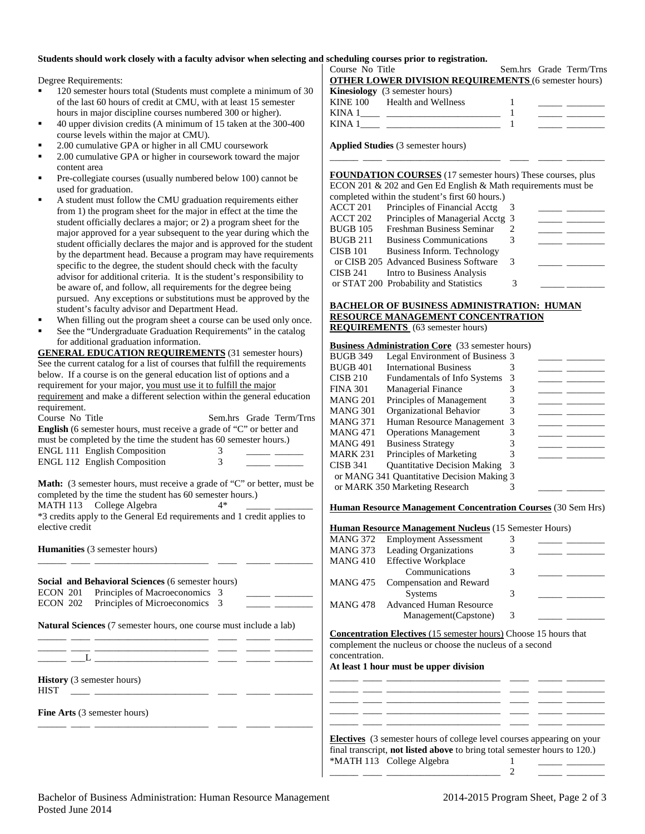### **Students should work closely with a faculty advisor when selecting and scheduling courses prior to registration.**

Degree Requirements:

- 120 semester hours total (Students must complete a minimum of 30 of the last 60 hours of credit at CMU, with at least 15 semester hours in major discipline courses numbered 300 or higher).
- 40 upper division credits (A minimum of 15 taken at the 300-400 course levels within the major at CMU).
- 2.00 cumulative GPA or higher in all CMU coursework
- 2.00 cumulative GPA or higher in coursework toward the major content area
- Pre-collegiate courses (usually numbered below 100) cannot be used for graduation.
- A student must follow the CMU graduation requirements either from 1) the program sheet for the major in effect at the time the student officially declares a major; or 2) a program sheet for the major approved for a year subsequent to the year during which the student officially declares the major and is approved for the student by the department head. Because a program may have requirements specific to the degree, the student should check with the faculty advisor for additional criteria. It is the student's responsibility to be aware of, and follow, all requirements for the degree being pursued. Any exceptions or substitutions must be approved by the student's faculty advisor and Department Head.
- When filling out the program sheet a course can be used only once.
- See the "Undergraduate Graduation Requirements" in the catalog for additional graduation information.

**GENERAL EDUCATION REQUIREMENTS** (31 semester hours) See the current catalog for a list of courses that fulfill the requirements below. If a course is on the general education list of options and a requirement for your major, you must use it to fulfill the major requirement and make a different selection within the general education requirement.

| Course No Title                                                             |   | Sem.hrs Grade Term/Trns |  |  |  |  |
|-----------------------------------------------------------------------------|---|-------------------------|--|--|--|--|
| <b>English</b> (6 semester hours, must receive a grade of "C" or better and |   |                         |  |  |  |  |
| must be completed by the time the student has 60 semester hours.)           |   |                         |  |  |  |  |
| <b>ENGL 111 English Composition</b>                                         | 3 |                         |  |  |  |  |
| <b>ENGL 112 English Composition</b>                                         | 3 |                         |  |  |  |  |
|                                                                             |   |                         |  |  |  |  |

**Math:** (3 semester hours, must receive a grade of "C" or better, must be completed by the time the student has 60 semester hours.) MATH 113 College Algebra  $4*$ 

\*3 credits apply to the General Ed requirements and 1 credit applies to elective credit

\_\_\_\_\_\_ \_\_\_\_ \_\_\_\_\_\_\_\_\_\_\_\_\_\_\_\_\_\_\_\_\_\_\_\_ \_\_\_\_ \_\_\_\_\_ \_\_\_\_\_\_\_\_

**Humanities** (3 semester hours)

|  | <b>Social and Behavioral Sciences</b> (6 semester hours) |  |  |
|--|----------------------------------------------------------|--|--|
|  | ECON 201 Principles of Macroeconomics 3                  |  |  |
|  | ECON 202 Principles of Microeconomics 3                  |  |  |

**Natural Sciences** (7 semester hours, one course must include a lab)

\_\_\_\_\_\_ \_\_\_\_ \_\_\_\_\_\_\_\_\_\_\_\_\_\_\_\_\_\_\_\_\_\_\_\_ \_\_\_\_ \_\_\_\_\_ \_\_\_\_\_\_\_\_ \_\_\_\_\_\_ \_\_\_\_ \_\_\_\_\_\_\_\_\_\_\_\_\_\_\_\_\_\_\_\_\_\_\_\_ \_\_\_\_ \_\_\_\_\_ \_\_\_\_\_\_\_\_

 $\frac{1}{\sqrt{2}}$   $\frac{1}{\sqrt{2}}$   $\frac{1}{\sqrt{2}}$ 

**History** (3 semester hours) HIST \_\_\_\_ \_\_\_\_\_\_\_\_\_\_\_\_\_\_\_\_\_\_\_\_\_\_\_\_ \_\_\_\_ \_\_\_\_\_ \_\_\_\_\_\_\_\_

**Fine Arts** (3 semester hours) \_\_\_\_\_\_ \_\_\_\_ \_\_\_\_\_\_\_\_\_\_\_\_\_\_\_\_\_\_\_\_\_\_\_\_ \_\_\_\_ \_\_\_\_\_ \_\_\_\_\_\_\_\_

| Course No Title                                             | Sem.hrs Grade Term/Trns |
|-------------------------------------------------------------|-------------------------|
| <b>OTHER LOWER DIVISION REQUIREMENTS (6 semester hours)</b> |                         |
| <b>Kinesiology</b> (3 semester hours)                       |                         |
| KINE 100 Health and Wellness                                |                         |
|                                                             |                         |
| KINA 1                                                      |                         |
|                                                             |                         |

\_\_\_\_\_\_ \_\_\_\_ \_\_\_\_\_\_\_\_\_\_\_\_\_\_\_\_\_\_\_\_\_\_\_\_ \_\_\_\_ \_\_\_\_\_ \_\_\_\_\_\_\_\_

**Applied Studies** (3 semester hours)

**FOUNDATION COURSES** (17 semester hours) These courses, plus ECON 201 & 202 and Gen Ed English & Math requirements must be completed within the student's first 60 hours.) ACCT 201 Principles of Financial Acctg 3 ACCT 202 Principles of Managerial Acctg 3<br>BUGB 105 Freshman Business Seminar 2 BUGB 105 Freshman Business Seminar 2<br>BUGB 211 Business Communications 3 Business Communications 3 CISB 101 Business Inform. Technology or CISB 205 Advanced Business Software 3 CISB 241 Intro to Business Analysis or STAT 200 Probability and Statistics 3

### **BACHELOR OF BUSINESS ADMINISTRATION: HUMAN RESOURCE MANAGEMENT CONCENTRATION REQUIREMENTS** (63 semester hours)

#### **Business Administration Core** (33 semester hours)

| BUGB 349 | Legal Environment of Business 3            |   |  |
|----------|--------------------------------------------|---|--|
| BUGB 401 | <b>International Business</b>              |   |  |
| CISB 210 | <b>Fundamentals of Info Systems</b>        | 3 |  |
| FINA 301 | Managerial Finance                         |   |  |
| MANG 201 | Principles of Management                   | 3 |  |
| MANG 301 | Organizational Behavior                    | 3 |  |
| MANG 371 | Human Resource Management 3                |   |  |
| MANG 471 | <b>Operations Management</b>               |   |  |
| MANG 491 | <b>Business Strategy</b>                   |   |  |
| MARK 231 | Principles of Marketing                    |   |  |
| CISB 341 | <b>Quantitative Decision Making</b>        | 3 |  |
|          | or MANG 341 Quantitative Decision Making 3 |   |  |
|          | or MARK 350 Marketing Research             |   |  |

**Human Resource Management Concentration Courses** (30 Sem Hrs)

| <b>Human Resource Management Nucleus (15 Semester Hours)</b> |                                |   |  |  |
|--------------------------------------------------------------|--------------------------------|---|--|--|
| <b>MANG 372</b>                                              | <b>Employment Assessment</b>   |   |  |  |
| <b>MANG 373</b>                                              | Leading Organizations          |   |  |  |
| <b>MANG 410</b>                                              | <b>Effective Workplace</b>     |   |  |  |
|                                                              | Communications                 | 3 |  |  |
| <b>MANG 475</b>                                              | Compensation and Reward        |   |  |  |
|                                                              | <b>Systems</b>                 | 3 |  |  |
| <b>MANG 478</b>                                              | <b>Advanced Human Resource</b> |   |  |  |
|                                                              | Management (Capstone)          | 3 |  |  |
|                                                              |                                |   |  |  |

**Concentration Electives** (15 semester hours) Choose 15 hours that complement the nucleus or choose the nucleus of a second concentration.

**At least 1 hour must be upper division** 

**Electives** (3 semester hours of college level courses appearing on your final transcript, **not listed above** to bring total semester hours to 120.) \*MATH 113 College Algebra 1

\_\_\_\_\_\_ \_\_\_\_ \_\_\_\_\_\_\_\_\_\_\_\_\_\_\_\_\_\_\_\_\_\_\_\_ 2 \_\_\_\_\_ \_\_\_\_\_\_\_\_

\_\_\_\_\_\_ \_\_\_\_ \_\_\_\_\_\_\_\_\_\_\_\_\_\_\_\_\_\_\_\_\_\_\_\_ \_\_\_\_ \_\_\_\_\_ \_\_\_\_\_\_\_\_ \_\_\_\_\_\_ \_\_\_\_ \_\_\_\_\_\_\_\_\_\_\_\_\_\_\_\_\_\_\_\_\_\_\_\_ \_\_\_\_ \_\_\_\_\_ \_\_\_\_\_\_\_\_ \_\_\_\_\_\_ \_\_\_\_ \_\_\_\_\_\_\_\_\_\_\_\_\_\_\_\_\_\_\_\_\_\_\_\_ \_\_\_\_ \_\_\_\_\_ \_\_\_\_\_\_\_\_ \_\_\_\_\_\_ \_\_\_\_ \_\_\_\_\_\_\_\_\_\_\_\_\_\_\_\_\_\_\_\_\_\_\_\_ \_\_\_\_ \_\_\_\_\_ \_\_\_\_\_\_\_\_ \_\_\_\_\_\_ \_\_\_\_ \_\_\_\_\_\_\_\_\_\_\_\_\_\_\_\_\_\_\_\_\_\_\_\_ \_\_\_\_ \_\_\_\_\_ \_\_\_\_\_\_\_\_